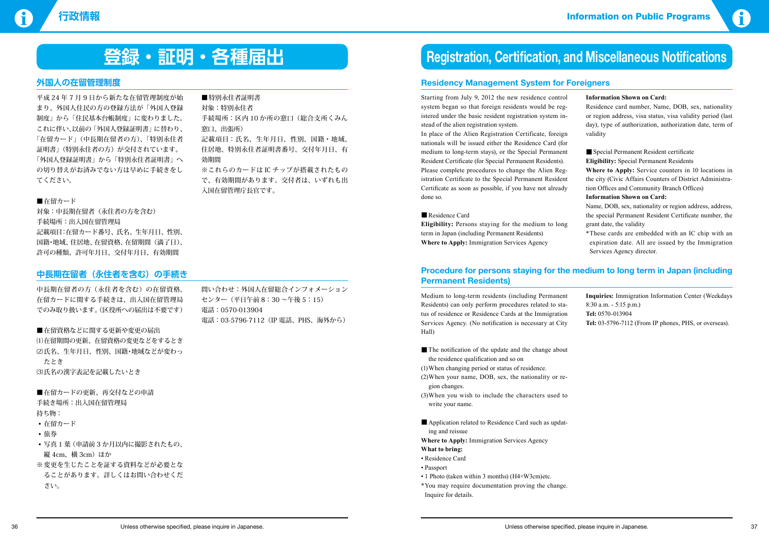

# **外国人の在留管理制度**

平成 24 年 7 月 9 日から新たな在留管理制度が始 まり、外国人住民の方の登録方法が「外国人登録 制度」から「住民基本台帳制度」に変わりました。 これに伴い、以前の「外国人登録証明書」に替わり、 「在留カード」(中長期在留者の方)、「特別永住者 証明書」(特別永住者の方)が交付されています。 「外国人登録証明書」から「特別永住者証明書」へ の切り替えがお済みでない方は早めに手続きをし てください。

#### ■在留カード

■在留カードの更新、再交付などの申請 手続き場所:出入国在留管理局 持ち物:

対象:中長期在留者(永住者の方を含む) 手続場所:出入国在留管理局 記載項目:在留カード番号、氏名、生年月日、性別、 国籍・地域、住居地、在留資格、在留期間(満了日)、 許可の種類、許可年月日、交付年月日、有効期間

- 在留カード
- • 旅券
- 写真1葉(申請前3か月以内に撮影されたもの、 縦 4cm、横 3cm) ほか
- ※ 変更を生じたことを証する資料などが必要とな ることがあります。詳しくはお問い合わせくだ さい。

### ■特別永住者証明書

対象:特別永住者 手続場所:区内 10 か所の窓口(総合支所くみん 窓口、出張所) 記載項目:氏名、生年月日、性別、国籍・地域、 住居地、特別永住者証明書番号、交付年月日、有 効期間 ※これらのカードは IC チップが搭載されたもの で、有効期間があります。交付者は、いずれも出

入国在留管理庁長官です。

# **中長期在留者(永住者を含む)の手続き**

中長期在留者の方(永住者を含む)の在留資格、 在留カードに関する手続きは、出入国在留管理局 でのみ取り扱います。(区役所への届出は不要です)

■在留資格などに関する更新や変更の届出 (1)在留期間の更新、在留資格の変更などをするとき (2)氏名、生年月日、性別、国籍·地域などが変わっ たとき (3)氏名の漢字表記を記載したいとき

問い合わせ:外国人在留総合インフォメーション センター(平日午前 8:30 ~午後 5:15) 電話:0570-013904 電話:03-5796-7112(IP 電話、PHS、海外から)

# **登録** • 正明 • 各種届出 **Registration, Certification, and Miscellaneous Notifications**

### **Residency Management System for Foreigners**

Starting from July 9, 2012 the new residence control system began so that foreign residents would be registered under the basic resident registration system instead of the alien registration system.

In place of the Alien Registration Certificate, foreign nationals will be issued either the Residence Card (for medium to long-term stays), or the Special Permanent Resident Certificate (for Special Permanent Residents). Please complete procedures to change the Alien Registration Certificate to the Special Permanent Resident Certificate as soon as possible, if you have not already done so.

#### ■Residence Card

- The notification of the update and the change about the residence qualification and so on
- (1) When changing period or status of residence.
- (2) When your name, DOB, sex, the nationality or region changes.
- (3) When you wish to include the characters used to write your name.
- Application related to Residence Card such as updating and reissue
- **Where to Apply:** Immigration Services Agency

**Eligibility:** Persons staying for the medium to long term in Japan (including Permanent Residents) **Where to Apply:** Immigration Services Agency

#### **Information Shown on Card:**

Residence card number, Name, DOB, sex, nationality or region address, visa status, visa validity period (last day), type of authorization, authorization date, term of validity

■ Special Permanent Resident certificate

**Eligibility:** Special Permanent Residents

**Where to Apply:** Service counters in 10 locations in the city (Civic Affairs Counters of District Administration Offices and Community Branch Offices)

#### **Information Shown on Card:**

Name, DOB, sex, nationality or region address, address, the special Permanent Resident Certificate number, the grant date, the validity

\*These cards are embedded with an IC chip with an expiration date. All are issued by the Immigration Services Agency director.

# **Procedure for persons staying for the medium to long term in Japan (including Permanent Residents)**

Medium to long-term residents (including Permanent Residents) can only perform procedures related to status of residence or Residence Cards at the Immigration Services Agency. (No notification is necessary at City Hall)

#### **What to bring:**

- Residence Card
- • Passport
- 1 Photo (taken within 3 months) (H4×W3cm)etc.
- \*You may require documentation proving the change. Inquire for details.

**Inquiries:** Immigration Information Center (Weekdays 8:30 a.m. - 5:15 p.m.) **Tel:** 0570-013904 **Tel:** 03-5796-7112 (From IP phones, PHS, or overseas).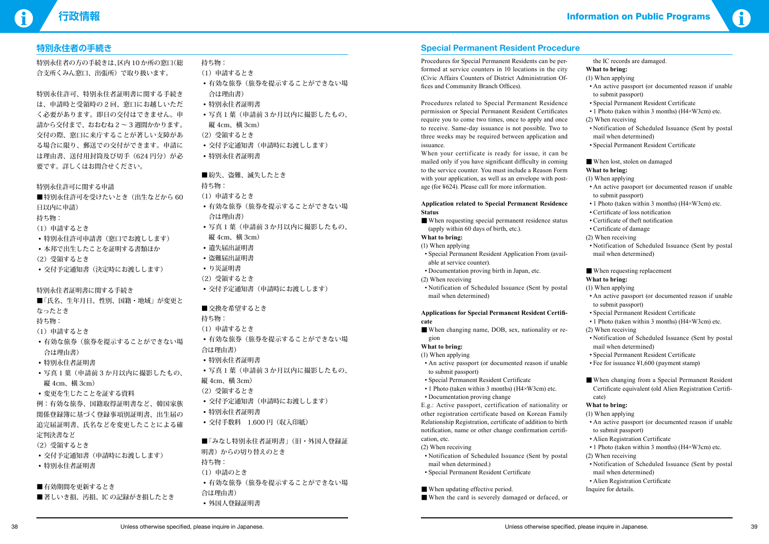# **行政情報** Information on Public Programs



# **特別永住者の手続き**

特別永住者の方の手続きは、区内 10 か所の窓口(総 合支所くみん窓口、出張所)で取り扱います。

- ■特別永住許可を受けたいとき(出生などから 60 日以内に申請)
- 持ち物:
- (1)申請するとき
- 特別永住許可申請書(窓口でお渡しします)
- 本邦で出生したことを証明する書類ほか
- (2)受領するとき
- • 交付予定通知書(決定時にお渡しします)

特別永住許可、特別永住者証明書に関する手続き は、申請時と受領時の 2 回、窓口にお越しいただ く必要があります。即日の交付はできません。申 請から交付まで、おおむね 2 ~ 3 週間かかります。 交付の際、窓口に来庁することが著しい支障があ る場合に限り、郵送での交付ができます。申請に は理由書、送付用封筒及び切手 (624円分)が必 要です。詳しくはお問合せください。

- ■「氏名、生年月日、性別、国籍・地域」が変更と なったとき
- 持ち物:
- (1)申請するとき
- 有効な旅券(旅券を提示することができない場 合は理由書)
- • 特別永住者証明書
- 写真1葉(申請前3か月以内に撮影したもの、 縦 4cm、横 3cm)
- • 変更を生じたことを証する資料

- • 交付予定通知書(申請時にお渡しします)
- • 特別永住者証明書
- ■有効期間を更新するとき
- ■著しいき損、汚損、IC の記録がき損したとき

特別永住許可に関する申請

- (1)申請するとき
- 有効な旅券(旅券を提示することができない場 合は理由書)
- 写真1葉(申請前3か月以内に撮影したもの、 縦 4cm、横 3cm)
- • 遺失届出証明書
- • 盗難届出証明書
- • り災証明書
- (2)受領するとき
- • 交付予定通知書(申請時にお渡しします)
- 交換を希望するとき
- 持ち物:
- (1)申請するとき
- 有効な旅券(旅券を提示することができない場 合は理由書)
- • 特別永住者証明書
- 
- 写真1葉(申請前3か月以内に撮影したもの、 縦 4cm、横 3cm)
- (2)受領するとき
- • 交付予定通知書(申請時にお渡しします)
- • 特別永住者証明書
- 交付手数料 1,600円 (収入印紙)

特別永住者証明書に関する手続き

■「みなし特別永住者証明書」(旧・外国人登録証 明書)からの切り替えのとき 持ち物: (1)申請のとき • 有効な旅券(旅券を提示することができない場 合は理由書) • 外国人登録証明書

例:有効な旅券、国籍取得証明書など、韓国家族 関係登録簿に基づく登録事項別証明書、出生届の 追完届証明書、氏名などを変更したことによる確 定判決書など

(2)受領するとき

- 持ち物:
- (1)申請するとき
- 有効な旅券(旅券を提示することができない場 合は理由書)
- • 特別永住者証明書
- 写真1葉(申請前3か月以内に撮影したもの、 縦 4cm、横 3cm)
- (2)受領するとき
- • 交付予定通知書(申請時にお渡しします)
- • 特別永住者証明書

■紛失、盗難、減失したとき

持ち物:

■ When requesting special permanent residence status (apply within 60 days of birth, etc.).

# **Special Permanent Resident Procedure**

- When changing name, DOB, sex, nationality or region
- **What to bring:**
- (1) When applying
- An active passport (or documented reason if unable to submit passport)
- • Special Permanent Resident Certificate
- 1 Photo (taken within 3 months) ( $H4 \times W3$ cm) etc.
- Documentation proving change

Procedures for Special Permanent Residents can be performed at service counters in 10 locations in the city (Civic Affairs Counters of District Administration Offices and Community Branch Offices).

- (2) When receiving
- • Notification of Scheduled Issuance (Sent by postal mail when determined.)
- • Special Permanent Resident Certificate
- When updating effective period.
- When the card is severely damaged or defaced, or
- An active passport (or documented reason if unable to submit passport)
- • Special Permanent Resident Certificate
- 1 Photo (taken within 3 months) ( $H4 \times W3$ cm) etc.

Procedures related to Special Permanent Residence permission or Special Permanent Resident Certificates require you to come two times, once to apply and once to receive. Same-day issuance is not possible. Two to three weeks may be required between application and issuance.

- • Notification of Scheduled Issuance (Sent by postal mail when determined)
- • Special Permanent Resident Certificate
- When lost, stolen on damaged

- An active passport (or documented reason if unable to submit passport)
- 1 Photo (taken within 3 months) (H4×W3cm) etc.
- • Certificate of loss notification
- Certificate of theft notification
- • Certificate of damage
- (2) When receiving
- • Notification of Scheduled Issuance (Sent by postal mail when determined)
- When requesting replacement

When your certificate is ready for issue, it can be mailed only if you have significant difficulty in coming to the service counter. You must include a Reason Form with your application, as well as an envelope with postage (for ¥624). Please call for more information.

**Application related to Special Permanent Residence Status**

#### **What to bring:**

- (1) When applying
- • Special Permanent Resident Application From (available at service counter).
- Documentation proving birth in Japan, etc.
- (2) When receiving
- • Notification of Scheduled Issuance (Sent by postal mail when determined)

#### **Applications for Special Permanent Resident Certificate**

E.g.: Active passport, certification of nationality or other registration certificate based on Korean Family Relationship Registration, certificate of addition to birth notification, name or other change confirmation certification, etc.

the IC records are damaged.

### **What to bring:**

(1) When applying

#### (2) When receiving

#### **What to bring:**

#### (1) When applying

### **What to bring:**

- (1) When applying
- An active passport (or documented reason if unable to submit passport)
- • Special Permanent Resident Certificate
- 1 Photo (taken within 3 months) (H4×W3cm) etc.
- (2) When receiving
- • Notification of Scheduled Issuance (Sent by postal mail when determined)
- • Special Permanent Resident Certificate
- Fee for issuance ¥1,600 (payment stamp)
- When changing from a Special Permanent Resident Certificate equivalent (old Alien Registration Certificate)

#### **What to bring:**

- (1) When applying
- An active passport (or documented reason if unable to submit passport)
- Alien Registration Certificate
- 1 Photo (taken within 3 months) (H4×W3cm) etc.
- (2) When receiving
- Notification of Scheduled Issuance (Sent by postal mail when determined)
- • Alien Registration Certificate
- Inquire for details.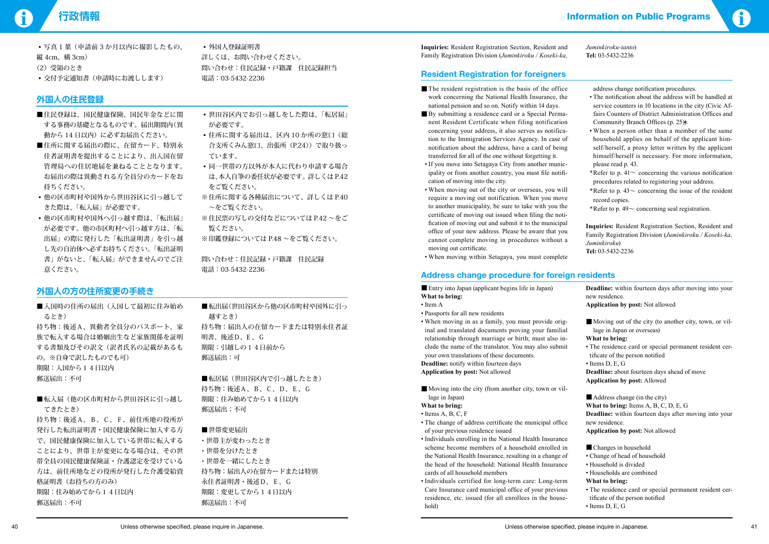| •写真1葉(申請前3か月以内に撮影したもの、 |
|------------------------|
| 縦 4cm、横 3cm)           |
| (2) 受領のとき              |
| • 交付予定通知書(申請時にお渡しします)  |



• 外国人登録証明書 詳しくは、お問い合わせください。 問い合わせ:住民記録・戸籍課 住民記録担当 電話:03-5432-2236

# **外国人の住民登録**

- ■住民登録は、国民健康保険、国民年金などに関 する事務の基礎となるものです。届出期間内(異 動から14日以内)に必ずお届出ください。
- ■住所に関する届出の際に、在留カード、特別永 住者証明書を提出することにより、出入国在留 管理局への住居地届を兼ねることとなります。 お届出の際は異動される方全員分のカードをお 持ちください。
- 他の区市町村や国外から世田谷区に引っ越して きた際は、「転入届」が必要です。
- 他の区市町村や国外へ引っ越す際は、「転出届」 が必要です。他の市区町村へ引っ越す方は、「転 出届」の際に発行した「転出証明書」を引っ越 し先の自治体へ必ずお持ちください。「転出証明 書」がないと、「転入届」ができませんのでご注 意ください。
- • 世田谷区内でお引っ越しをした際は、「転居届」 が必要です。
- 住所に関する届出は、区内10か所の窓口(総 合支所くみん窓口、出張所(P.24))で取り扱っ ています。
- 同一世帯の方以外が本人に代わり申請する場合 は、本人自筆の委任状が必要です。詳しくは P.42 をご覧ください。
- ※住所に関する各種届出について、詳しくは P.40 ~をご覧ください。
- ※ 住民票の写しの交付などについては P.42 ~をご 覧ください。
- ※印鑑登録については P.48 ~をご覧ください。

- ■入国時の住所の届出(入国して最初に住み始め るとき) 持ち物:後述A、異動者全員分のパスポート、家 族で転入する場合は婚姻出生など家族関係を証明 する書類及びその訳文(訳者氏名の記載があるも の。※自身で訳したものでも可) 期限:入国から14日以内 郵送届出:不可
- ■転入届(他の区市町村から世田谷区に引っ越し てきたとき)

■転出届(世田谷区から他の区市町村や国外に引っ 越すとき) 持ち物:届出人の在留カードまたは特別永住者証 明書、後述D、E 、G 期限:引越しの14日前から 郵送届出:可

■転居届(世田谷区内で引っ越したとき) 持ち物:後述A、B、C、D、E、G 期限:住み始めてから14日以内 郵送届出:不可

#### ■世帯変更届出

問い合わせ:住民記録・戸籍課 住民記録 電話:03-5432-2236

# **外国人の方の住所変更の手続き**

持ち物:後述A、B、C、F、前住所地の役所が 発行した転出証明書・国民健康保険に加入する方 で、国民健康保険に加入している世帯に転入する ことにより、世帯主が変更になる場合は、その世 帯全員の国民健康保険証・介護認定を受けている 方は、前住所地などの役所が発行した介護受給資 格証明書(お持ちの方のみ) 期限:住み始めてから14日以内 郵送届出:不可

- The resident registration is the basis of the office work concerning the National Health Insurance, the national pension and so on. Notify within 14 days.
- ■ By submitting a residence card or a Special Permanent Resident Certificate when filing notification concerning your address, it also serves as notification to the Immigration Services Agency. In case of notification about the address, have a card of being transferred for all of the one without forgetting it.
- If you move into Setagaya City from another municipality or from another country, you must file notification of moving into the city.
- When moving out of the city or overseas, you will require a moving out notification. When you move to another municipality, be sure to take with you the certificate of moving out issued when filing the notification of moving out and submit it to the municipal office of your new address. Please be aware that you cannot complete moving in procedures without a moving out certificate.
- When moving within Setagaya, you must complete

- ・世帯主が変わったとき
- ・世帯を分けたとき ・世帯を一緒にしたとき 持ち物:届出人の在留カードまたは特別 永住者証明書・後述D、E、G 期限:変更してから14日以内 郵送届出:不可

**Inquiries:** Resident Registration Section, Resident and Family Registration Division (*Juminkiroku / Koseki-ka,* 

*Juminkiroku-tanto*) **Tel:** 03-5432-2236

# **Resident Registration for foreigners**

■ Entry into Japan (applicant begins life in Japan) **What to bring:** 

- Moving out of the city (to another city, town, or village in Japan or overseas)
- **What to bring:**
- The residence card or special permanent resident certificate of the person notified
- Items D, E, G

■ Address change (in the city) **What to bring:** Items A, B, C, D, E, G **Deadline:** within fourteen days after moving into your new residence. **Application by post:** Not allowed

- Changes in household
- Change of head of household
- Household is divided
- Households are combined

address change notification procedures.

- The notification about the address will be handled at service counters in 10 locations in the city (Civic Affairs Counters of District Administration Offices and Community Branch Offices (p. 25)).
- When a person other than a member of the same household applies on behalf of the applicant himself/herself, a proxy letter written by the applicant himself/herself is necessary. For more information, please read p. 43.
- \*Refer to p.  $41\sim$  concerning the various notification procedures related to registering your address.
- \*Refer to p.  $43\sim$  concerning the issue of the resident record copies.
- \*Refer to p.  $49\sim$  concerning seal registration.

**Inquiries:** Resident Registration Section, Resident and Family Registration Division (*Juminkiroku / Koseki-ka, Juminkiroku*) **Tel:** 03-5432-2236

# **Address change procedure for foreign residents**

- Item A
- Passports for all new residents
- When moving in as a family, you must provide original and translated documents proving your familial relationship through marriage or birth; must also include the name of the translator. You may also submit your own translations of these documents. **Deadline:** notify within fourteen days **Application by post:** Not allowed
- Moving into the city (from another city, town or village in Japan)
- **What to bring:**
- $\bullet$  Items A, B, C, F
- The change of address certificate the municipal office of your previous residence issued
- Individuals enrolling in the National Health Insurance scheme become members of a household enrolled in the National Health Insurance, resulting in a change of the head of the household: National Health Insurance cards of all household members
- • Individuals certified for long-term care: Long-term Care Insurance card municipal office of your previous residence, etc. issued (for all enrollees in the household)

**Deadline:** within fourteen days after moving into your new residence.

**Application by post:** Not allowed

**Deadline:** about fourteen days ahead of move **Application by post:** Allowed

#### **What to bring:**

- The residence card or special permanent resident certificate of the person notified
- Items D, E, G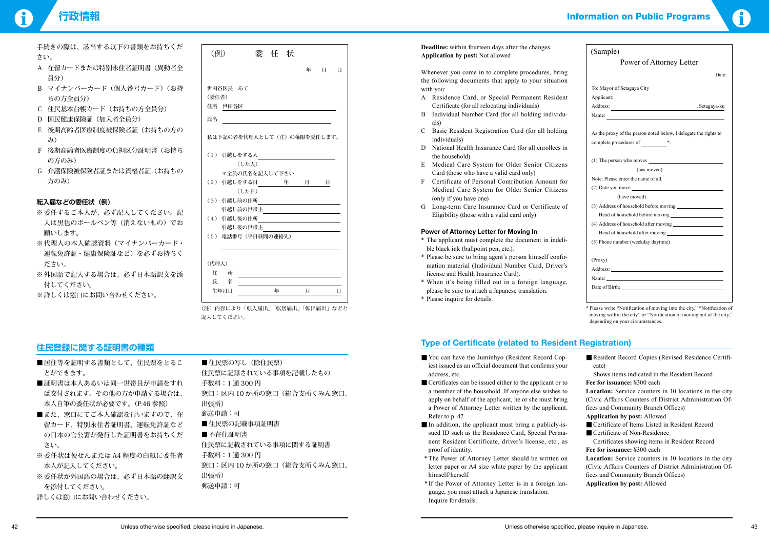手続きの際は、該当する以下の書類をお持ちくだ さい。

# **行政情報** Information on Public Programs



- A 在留カードまたは特別永住者証明書(異動者全 員分)
- B マイナンバーカード(個人番号カード)(お持 ちの方全員分)
- C 住民基本台帳カード(お持ちの方全員分)
- D 国民健康保険証(加入者全員分)
- E 後期高齢者医療制度被保険者証(お持ちの方の み)
- F 後期高齢者医療制度の負担区分証明書(お持ち の方のみ)
- G 介護保険被保険者証または資格者証(お持ちの 方のみ)

### **転入届などの委任状(例)**

- ※ 委任するご本人が、必ず記入してください。記 入は黒色のボールペン等(消えないもの)でお 願いします。
- ※代理人の本人確認資料(マイナンバーカード・ 運転免許証・健康保険証など)を必ずお持ちく ださい。
- ※外国語で記入する場合は、必ず日本語訳文を添 付してください。
- ※詳しくは窓口にお問い合わせください。

- ■居住等を証明する書類として、住民票をとるこ とができます。
- ■証明書は本人あるいは同一世帯員が申請をすれ ば交付されます。その他の方が申請する場合は、 本人自筆の委任状が必要です。(P.46 参照)
- ■また、窓口にてご本人確認を行いますので、在 留カード、特別永住者証明書、運転免許証など の日本の官公署が発行した証明書をお持ちくだ さい。
- ※ 委任状は便せんまたは A4 程度の白紙に委任者 本人が記入してください。
- ※ 委任状が外国語の場合は、必ず日本語の翻訳文 を添付してください。
- 詳しくは窓口にお問い合わせください。

■住民票の写し(除住民票) 住民票に記録されている事項を記載したもの 手数料:1 通 300 円 窓口:区内 10 か所の窓口(総合支所くみん窓口、 出張所) 郵送申請:可 ■住民票の記載事項証明書 ■ 不在住証明書 住民票に記載されている事項に関する証明書 手数料:1 通 300 円 窓口:区内 10 か所の窓口(総合支所くみん窓口、 出張所) 郵送申請:可

# **住民登録に関する証明書の種類**

# **Deadline:** within fourteen days after the changes

Whenever you come in to complete procedures, bring the following documents that apply to your situation with you:

- You can have the Juminhyo (Resident Record Copies) issued as an official document that confirms your address, etc.
- Certificates can be issued either to the applicant or to a member of the household. If anyone else wishes to apply on behalf of the applicant, he or she must bring a Power of Attorney Letter written by the applicant. Refer to p. 47.
- In addition, the applicant must bring a publicly-issued ID such as the Residence Card, Special Permanent Resident Certificate, driver's license, etc., as proof of identity.
- \*The Power of Attorney Letter should be written on letter paper or A4 size white paper by the applicant himself/herself.
- \* If the Power of Attorney Letter is in a foreign language, you must attach a Japanese translation. Inquire for details.
- A Residence Card, or Special Permanent Resident Certificate (for all relocating individuals)
- B Individual Number Card (for all holding individuals)
- C Basic Resident Registration Card (for all holding individuals)
- D National Health Insurance Card (for all enrollees in the household)
- E Medical Care System for Older Senior Citizens Card (those who have a valid card only)
- F Certificate of Personal Contribution Amount for Medical Care System for Older Senior Citizens (only if you have one)
- G Long-term Care Insurance Card or Certificate of Eligibility (those with a valid card only)

#### **Power of Attorney Letter for Moving In**

- \* The applicant must complete the document in indelible black ink (ballpoint pen, etc.).
- \* Please be sure to bring agent's person himself confirmation material (Individual Number Card, Driver's license and Health Insurance Card).
- \* When it's being filled out in a foreign language, please be sure to attach a Japanese translation.
- \* Please inquire for details.

# (例) 委 任 状 **Deadline**: which barteen days arter the enanges (Sample) 委 任 状 年 月 日 世田谷区長 あて (委任者) 住所 世田谷区 **氏名 しゅうしょう しんしょう しんしゃく しんしゃく しんしゃく しんしゃく しんしゃく しんしゃく しんしゃくん しんしゃくん しんしゃくん しんしゃくん しんしゃくん しんしゃくん しんしゃくん しんしゃくん しんしゃくん しんしゃくん しんしゃくん しんしゃくん しんしゃくん しんしゃくん しんしゃくん** 私は下記の者を代理人として(注)の権限を委任します。 (1) 引越しをする人 (した人) \*全員の氏名を記入して下さい (2) 引越しをする日 年 月 日 (した日) (3) 引越し前の住所 引越し前の世帯主 (4) 引越し後の住所 引越し後の世帯主 (5) 電話番号(平日昼間の連絡先) (代理人) 住 所 氏 名 生年月日 年 月 日 (注)内容により「転入届出」「転居届出」「転出届出」などと

記入してください。

# **Type of Certificate (related to Resident Registration)**

| (Sample)                                                                                                    |  |
|-------------------------------------------------------------------------------------------------------------|--|
| Power of Attorney Letter                                                                                    |  |
| Date:                                                                                                       |  |
|                                                                                                             |  |
| To: Mayor of Setagaya City                                                                                  |  |
| Applicant:                                                                                                  |  |
| , Setagaya-ku                                                                                               |  |
|                                                                                                             |  |
| As the proxy of the person noted below, I delegate the rights to<br>complete procedures of $\_\_\_\_\_\$ *. |  |
| (1) The person who moves                                                                                    |  |
| (has moved)                                                                                                 |  |
| Note: Please enter the name of all.                                                                         |  |
|                                                                                                             |  |
| (have moved)                                                                                                |  |
|                                                                                                             |  |
| Head of household before moving                                                                             |  |
|                                                                                                             |  |
|                                                                                                             |  |
| (5) Phone number (weekday daytime)                                                                          |  |
|                                                                                                             |  |
| (Proxy)                                                                                                     |  |
|                                                                                                             |  |
| Name: $\qquad \qquad$                                                                                       |  |
|                                                                                                             |  |
|                                                                                                             |  |

\* Please write "Notification of moving into the city," "Notification of moving within the city" or "Notification of moving out of the city," depending on your circumstances.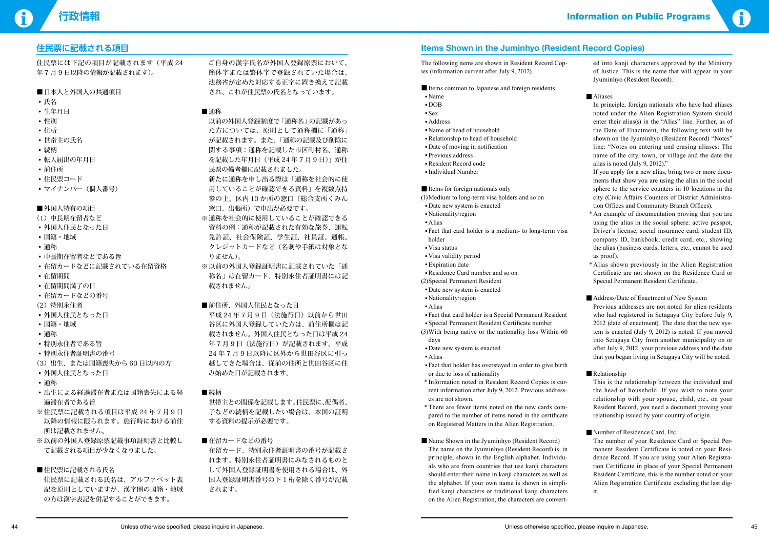- • 氏名
- • 生年月日
- • 性別
- • 住所
- • 世帯主の氏名
- • 続柄
- • 転入届出の年月日
- • 前住所
- 住民票コード
- マイナンバー (個人番号)

#### ■外国人特有の項目



## **住民票に記載される項目**

住民票には下記の項目が記載されます(平成 24 年 7 月 9 日以降の情報が記載されます)。

#### ■日本人と外国人の共通項目

- 新たに通称を申し出る際は「通称を社会的に使 用していることが確認できる資料」を複数点持 参の上、区内 10 か所の窓口(総合支所くみん 窓口、出張所)で申出が必要です。
- ※ 通称を社会的に使用していることが確認できる 資料の例:通称が記載された有効な旅券、運転 免許証、社会保険証、学生証、社員証、通帳、 クレジットカードなど(名刺や手紙は対象とな りません)。
- ※以前の外国人登録証明書に記載されていた「通 称名」は在留カード、特別永住者証明書には記 載されません。
- ■前住所、外国人住民となった日
- 平成 24年7月9日 (法施行日)以前から世田 谷区に外国人登録していた方は、前住所欄は記 載されません。外国人住民となった日は平成 24 年7月9日 (法施行日) が記載されます。平成 24 年 7 月 9 日以降に区外から世田谷区に引っ 越してきた場合は、従前の住所と世田谷区に住 み始めた日が記載されます。
- ■続柄
- (1)中長期在留者など
- 外国人住民となった日
- • 国籍・地域
- • 通称
- 中長期在留者などである旨
- 在留カードなどに記載されている在留資格
- • 在留期間
- • 在留期間満了の日
- 在留カードなどの番号
- (2)特別永住者
- 外国人住民となった日
- • 国籍・地域
- • 通称
- • 特別永住者である旨
- • 特別永住者証明書の番号
- (3)出生、または国籍喪失から 60 日以内の方
- 外国人住民となった日
- • 通称
- • 出生による経過滞在者または国籍喪失による経 過滞在者である旨
- ※住民票に記載される項目は平成 24年7月9日 以降の情報に限られます。施行時における前住 所は記載されません。
- ※以前の外国人登録原票記載事項証明書と比較し て記載される項目が少なくなりました。

### ■住民票に記載される氏名

 住民票に記載される氏名は、アルファベット表 記を原則としていますが、漢字圏の国籍・地域 の方は漢字表記を併記することができます。

 ご自身の漢字氏名が外国人登録原票において、 簡体字または繁体字で登録されていた場合は、 法務省が定めた対応する正字に置き換えて記載 され、これが住民票の氏名となっています。

### ■通称

 以前の外国人登録制度で「通称名」の記載があっ た方については、原則として通称欄に「通称」 が記載されます。また、「通称の記載及び削除に 関する事項:通称を記載した市区町村名、通称 を記載した年月日(平成 24 年 7 月 9 日)」 が住 民票の備考欄に記載されました。

- Items common to Japanese and foreign residents
- • Name
- • DOB
- •Sex
- •Address
- • Name of head of household
- •Relationship to head of household
- Date of moving in notification
- Previous address
- •Resident Record code
- • Individual Number

 世帯主との関係を記載します。住民票に、配偶者、 子などの続柄を記載したい場合は、本国の証明 する資料の提示が必要です。

■在留カードなどの番号

 在留カード、特別永住者証明書の番号が記載さ れます。特別永住者証明書にみなされるものと して外国人登録証明書を使用される場合は、外 国人登録証明書番号の下 1 桁を除く番号が記載 されます。

# **Items Shown in the Juminhyo (Resident Record Copies)**

The following items are shown in Resident Record Copies (information current after July 9, 2012).

#### ■Items for foreign nationals only

- (1) Medium to long-term visa holders and so on
- •Date new system is enacted
- Nationality/region
- •Alias
- •Fact that card holder is a medium- to long-term visa holder
- •Visa status
- •Visa validity period
- •Expiration date
- •Residence Card number and so on
- (2) Special Permanent Resident
- •Date new system is enacted
- • Nationality/region
- •Alias
- • Fact that card holder is a Special Permanent Resident
- • Special Permanent Resident Certificate number
- $(3)$  With being native or the nationality loss Within 60 days
- •Date new system is enacted
- •Alias
- •Fact that holder has overstayed in order to give birth or due to loss of nationality
- \* Information noted in Resident Record Copies is current information after July 9, 2012. Previous addresses are not shown.
- \*There are fewer items noted on the new cards compared to the number of items noted in the certificate on Registered Matters in the Alien Registration.
- Name Shown in the Jyuminhyo (Resident Record) The name on the Jyuminhyo (Resident Record) is, in principle, shown in the English alphabet. Individuals who are from countries that use kanji characters should enter their name in kanji characters as well as the alphabet. If your own name is shown in simplified kanji characters or traditional kanji characters on the Alien Registration, the characters are convert-

ed into kanji characters approved by the Ministry of Justice. This is the name that will appear in your Jyuminhyo (Resident Record).

#### ■ Aliases

In principle, foreign nationals who have had aliases noted under the Alien Registration System should enter their alias(s) in the "Alias" line. Further, as of the Date of Enactment, the following text will be shown on the Jyuminhyo (Resident Record) "Notes" line: "Notes on entering and erasing aliases: The name of the city, town, or village and the date the alias is noted (July 9, 2012)."

If you apply for a new alias, bring two or more documents that show you are using the alias in the social sphere to the service counters in 10 locations in the city (Civic Affairs Counters of District Administration Offices and Community Branch Offices).

- \*An example of documentation proving that you are using the alias in the social sphere: active passpot, Driver's license, social insurance card, student ID, company ID, bankbook, credit card, etc., showing the alias (business cards, letters, etc., cannot be used as proof).
- \*Alias shown previously in the Alien Registration Certificate are not shown on the Residence Card or Special Permanent Resident Certificate.

#### ■ Address/Date of Enactment of New System

 Previous addresses are not noted for alien residents who had registered in Setagaya City before July 9, 2012 (date of enactment). The date that the new system is enacted (July 9, 2012) is noted. If you moved into Setagaya City from another municipality on or after July 9, 2012, your previous address and the date that you began living in Setagaya City will be noted.

#### ■Relationship

This is the relationship between the individual and the head of household. If you wish to note your relationship with your spouse, child, etc., on your Resident Record, you need a document proving your relationship issued by your country of origin.

#### ■ Number of Residence Card, Etc.

 The number of your Residence Card or Special Permanent Resident Certificate is noted on your Residence Record. If you are using your Alien Registration Certificate in place of your Special Permanent Resident Certificate, this is the number noted on your Alien Registration Certificate excluding the last digit.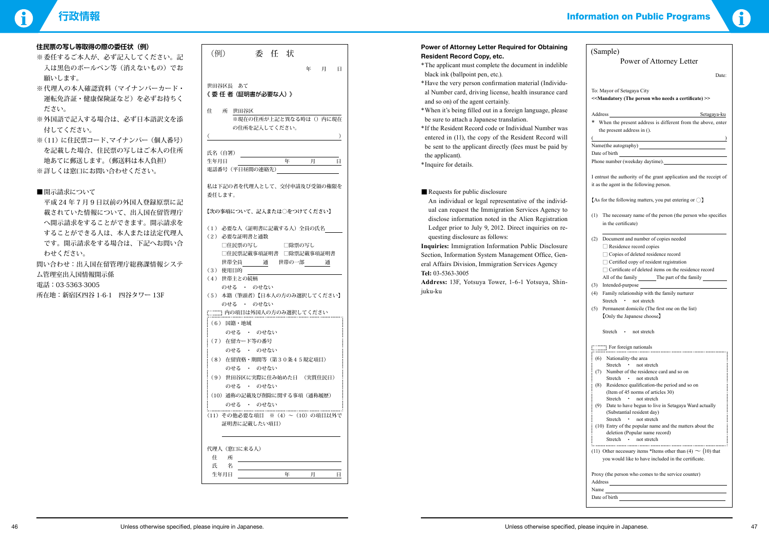|                                        | <b>Power of Attorney Letter Required for Obtaining</b>    | (Sample)                        |
|----------------------------------------|-----------------------------------------------------------|---------------------------------|
| (例)<br>状<br>委<br>任                     | <b>Resident Record Copy, etc.</b>                         |                                 |
| 年<br>月<br>日                            | *The applicant must complete the document in indelible    |                                 |
|                                        | black ink (ballpoint pen, etc.).                          |                                 |
| 世田谷区長 あて                               | *Have the very person confirmation material (Individu-    |                                 |
| 《 委 任 者 (証明書が必要な人)》                    | al Number card, driving license, health insurance card    | To: Mayor of                    |
|                                        | and so on) of the agent certainly.                        | < <mandator< td=""></mandator<> |
| 住<br>所<br>世田谷区                         | *When it's being filled out in a foreign language, please |                                 |
| ※現在の住所が上記と異なる時は()内に現在                  | be sure to attach a Japanese translation.                 | Address<br>* When the           |
| の住所を記入してください。                          | *If the Resident Record code or Individual Number was     | the preser                      |
|                                        | entered in (11), the copy of the Resident Record will     |                                 |
|                                        | be sent to the applicant directly (fees must be paid by   | Name(the au                     |
| 氏名 (自署)                                | the applicant).                                           | Date of birth                   |
| 年<br>月<br>生年月日<br>日                    | *Inquire for details.                                     | Phone numbe                     |
| 電話番号 (平日昼間の連絡先)                        |                                                           |                                 |
|                                        |                                                           | I entrust the                   |
| 私は下記の者を代理人として、交付申請及び受領の権限を             | Requests for public disclosure                            | it as the agen                  |
| 委任します。                                 |                                                           | As for the fo                   |
|                                        | An individual or legal representative of the individ-     |                                 |
| 【次の事項について、記入または○をつけてください】              | ual can request the Immigration Services Agency to        | $(1)$ The nec                   |
|                                        | disclose information noted in the Alien Registration      | in the co                       |
| (1) 必要な人 (証明書に記載する人) 全員の氏名             | Ledger prior to July 9, 2012. Direct inquiries on re-     |                                 |
| (2) 必要な証明書と通数                          | questing disclosure as follows:                           | Docume<br>(2)                   |
| □住民票の写し<br>□除票の写し                      | Inquiries: Immigration Information Public Disclosure      | $\Box$ Resi                     |
| □住民票記載事項証明書 □除票記載事項証明書<br>世帯全員         | Section, Information System Management Office, Gen-       | $\Box$ Copi<br>$\Box$ Certi     |
| 世帯の一部<br>通<br>通<br>(3) 使用目的            | eral Affairs Division, Immigration Services Agency        | $\Box$ Certi                    |
| (4) 世帯主との続柄                            | Tel: 03-5363-3005                                         | All of th                       |
| のせる ・ のせない                             | Address: 13F, Yotsuya Tower, 1-6-1 Yotsuya, Shin-         | Intende<br>(3)                  |
| (5) 本籍 (筆頭者)【日本人の方のみ選択してください】          | juku-ku                                                   | Family<br>(4)                   |
| のせる · のせない                             |                                                           | Stretch                         |
| <b>[[[[[[[]]] 内の項目は外国人の方のみ選択してください</b> |                                                           | (5)<br>Perman                   |
| (6) 国籍 · 地域                            |                                                           | [Only t]                        |
|                                        |                                                           | Stretch                         |
| のせる ・ のせない                             |                                                           |                                 |
| (7) 在留カード等の番号                          |                                                           |                                 |
| のせる ・ のせない                             |                                                           | $(6)$ Nation                    |
| (8) 在留資格・期間等(第30条45規定項目)<br>のせる ・ のせない |                                                           | <b>Stretc</b>                   |
|                                        |                                                           | $(7)$ Numb                      |
| (9) 世田谷区に実際に住み始めた日 (実質住民日)             |                                                           | <b>Stretc</b><br>$(8)$ Reside   |
| のせる ・ のせない                             |                                                           | (Item                           |
| (10) 通称の記載及び削除に関する事項 (通称履歴)            |                                                           | <b>Stretc</b>                   |
| のせる ・ のせない                             |                                                           | $(9)$ Date t                    |
| (11) その他必要な項目 ※ (4) ~ (10) の項目以外で      |                                                           | (Subst<br><b>Stretc</b>         |
| 証明書に記載したい項目)                           |                                                           | $(10)$ Entry                    |
|                                        |                                                           | deleti                          |
|                                        |                                                           | Stretc                          |
| 代理人(窓口に来る人)                            |                                                           | $(11)$ Other n                  |
| 所<br>住                                 |                                                           | you wo                          |
| 名<br>氏                                 |                                                           |                                 |
| 生年月日<br>年<br>月<br>日                    |                                                           | Proxy (the pe<br>$A$ ddragg     |

# **行政情報** Information on Public Programs



| (Sample)                                                                                                                                                                                                                                                                              |
|---------------------------------------------------------------------------------------------------------------------------------------------------------------------------------------------------------------------------------------------------------------------------------------|
| Power of Attorney Letter                                                                                                                                                                                                                                                              |
| Date:                                                                                                                                                                                                                                                                                 |
| To: Mayor of Setagaya City                                                                                                                                                                                                                                                            |
| < <mandatory (the="" a="" certificate)="" needs="" person="" who="">&gt;</mandatory>                                                                                                                                                                                                  |
| Setagaya-ku                                                                                                                                                                                                                                                                           |
| When the present address is different from the above, enter<br>*                                                                                                                                                                                                                      |
| the present address in ().<br>$\overline{\phantom{a}}$                                                                                                                                                                                                                                |
|                                                                                                                                                                                                                                                                                       |
| Phone number (weekday daytime).                                                                                                                                                                                                                                                       |
| I entrust the authority of the grant application and the receipt of                                                                                                                                                                                                                   |
| it as the agent in the following person.                                                                                                                                                                                                                                              |
| [As for the following matters, you put entering or $\bigcirc$ ]                                                                                                                                                                                                                       |
| (1)<br>The necessary name of the person (the person who specifies                                                                                                                                                                                                                     |
| in the certificate)                                                                                                                                                                                                                                                                   |
| (2)<br>Document and number of copies needed                                                                                                                                                                                                                                           |
| $\Box$ Residence record copies<br>□ Copies of deleted residence record                                                                                                                                                                                                                |
| $\Box$ Certified copy of resident registration                                                                                                                                                                                                                                        |
| $\Box$ Certificate of deleted items on the residence record                                                                                                                                                                                                                           |
| All of the family The part of the family                                                                                                                                                                                                                                              |
| Intended-purpose<br>(3)<br>Family relationship with the family nurturer<br>(4)                                                                                                                                                                                                        |
| Stretch<br>• not stretch                                                                                                                                                                                                                                                              |
| Permanent domicile (The first one on the list)<br>(5)<br>[Only the Japanese choose]                                                                                                                                                                                                   |
| Stretch • not stretch                                                                                                                                                                                                                                                                 |
|                                                                                                                                                                                                                                                                                       |
| For foreign nationals                                                                                                                                                                                                                                                                 |
| (6) Nationality-the area<br>not stretch<br>Stretch<br>$\bullet$                                                                                                                                                                                                                       |
| Number of the residence card and so on<br>(7)                                                                                                                                                                                                                                         |
| Stretch<br>• not stretch<br>(8)<br>Residence qualification-the period and so on                                                                                                                                                                                                       |
| (Item of 45 norms of articles 30)                                                                                                                                                                                                                                                     |
| Stretch • not stretch<br>(9) Date to have begun to live in Setagaya Ward actually                                                                                                                                                                                                     |
| (Substantial resident day)<br>Stretch<br>$\bullet$                                                                                                                                                                                                                                    |
| not stretch<br>(10) Entry of the popular name and the matters about the                                                                                                                                                                                                               |
| deletion (Popular name record)<br>Stretch • not stretch                                                                                                                                                                                                                               |
|                                                                                                                                                                                                                                                                                       |
| (11) Other necessary items *Items other than (4) $\sim$ (10) that<br>you would like to have included in the certificate.                                                                                                                                                              |
| Proxy (the person who comes to the service counter)<br>Address and the state of the state of the state of the state of the state of the state of the state of the state of the state of the state of the state of the state of the state of the state of the state of the state of th |
| Name                                                                                                                                                                                                                                                                                  |
| Date of birth                                                                                                                                                                                                                                                                         |

**住民票の写し等取得の際の委任状(例)**

- ※ 外国語で記入する場合は、必ず日本語訳又を添 付してください。
- ※(11)に住民票コード、マイナンバー(個人番号) を記載した場合、住民票の写しはご本人の住所 地あてに郵送します。(郵送料は本人負担) ※詳しくは窓口にお問い合わせください。
- ■開示請求について

| LLW <del>AtVJ J U ti</del> 4ARTYJMtVJ SLLVA (1717 |
|---------------------------------------------------|
| ※ 委任するご本人が、必ず記入してください。記                           |
| 入は黒色のボールペン等(消えないもの)でお                             |
| 願いします。                                            |
| ※代理人の本人確認資料(マイナンバーカード・                            |
| 運転免許証・健康保険証など)を必ずお持ちく                             |
| ださい。                                              |
| ※ 外国語で記入する場合は一必ず日木語訳立を添                           |

 平成 24 年 7 月 9 日以前の外国人登録原票に記 載されていた情報について、出入国在留管理庁 へ開示請求をすることができます。開示請求を することができる人は、本人または法定代理人 です。開示請求をする場合は、下記へお問い合 わせください。

問い合わせ:出入国在留管理庁総務課情報システ ム管理室出入国情報開示係

電話:03-5363-3005

所在地:新宿区四谷 1-6-1 四谷タワー 13F

# **Power of Attorney Letter Required for Obtaining**

- \*The applicant must complete the document in indelible black ink (ballpoint pen, etc.).
- \*Have the very person confirmation material (Individual Number card, driving license, health insurance card and so on) of the agent certainly.
- \* When it's being filled out in a foreign language, please be sure to attach a Japanese translation.
- \* If the Resident Record code or Individual Number was entered in (11), the copy of the Resident Record will be sent to the applicant directly (fees must be paid by the applicant).
- \*Inquire for details.

#### ■ Requests for public disclosure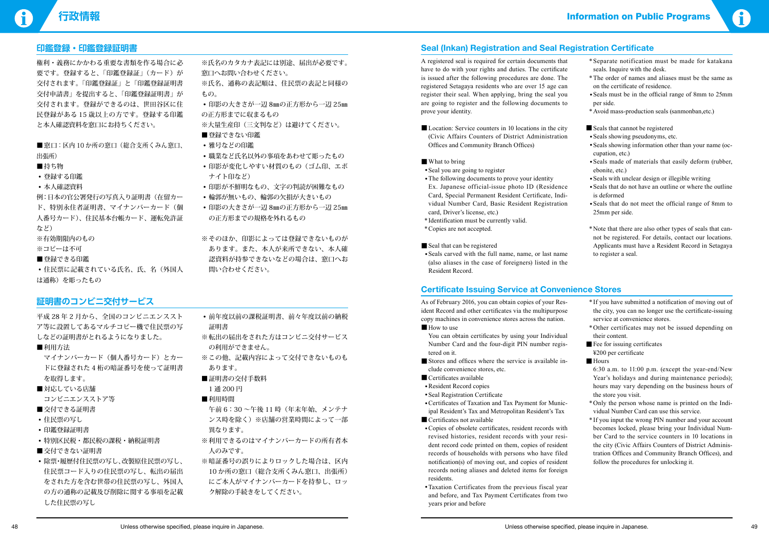# **行政情報** Information on Public Programs



**印鑑登録・印鑑登録証明書**

| 要です。登録すると、「印鑑登録証」(カード)が   |
|---------------------------|
| 交付されます。「印鑑登録証」と「印鑑登録証明書   |
| 交付申請書」を提出すると、「印鑑登録証明書」が   |
| 交付されます。登録ができるのは、世田谷区に住    |
| 民登録がある 15 歳以上の方です。登録する印鑑  |
| と本人確認資料を窓口にお持ちください。       |
|                           |
| ■窓口:区内 10か所の窓口(総合支所くみん窓口、 |
| 出張所)                      |
| ■持ち物                      |
| • 登録する印鑑                  |
| • 本人確認資料                  |
| 例:日本の官公署発行の写真入り証明書(在留カー   |
| ド、特別永住者証明書、マイナンバーカード(個    |
| 人番号カード)、住民基本台帳カード、運転免許証   |
|                           |
| など)                       |
| ※有効期限内のもの                 |
| ※コピーは不可                   |
| ■ 登録できる印鑑                 |

権利・義務にかかわる重要な書類を作る場合に必

※そのほか、印影によっては登録できないものが あります。また、本人が来所できない、本人確 認資料が持参できないなどの場合は、窓口へお 問い合わせください。

は通称)を彫ったもの

マイナンバーカード(個人番号カード)とカー ドに登録された 4 桁の暗証番号を使って証明書 を取得します。

- ■対応している店舗 コンビニエンスストア等
- 交付できる証明書
- ※氏名のカタカナ表記には別途、届出が必要です。 窓口へお問い合わせください。
- ※氏名、通称の表記順は、住民票の表記と同様の もの。
- • 印影の大きさが一辺 8㎜の正方形から一辺 25㎜ の正方形までに収まるもの
- ※大量生産印(三文判など)は避けてください。
- ■登録できない印鑑
- 雅号などの印鑑
- •職業など氏名以外の事項をあわせて彫ったもの
- 印影が変化しやすい材質のもの(ゴム印、エボ ナイト印など)
- 印影が不鮮明なもの、文字の判読が困難なもの
- 輪郭が無いもの、輪郭の欠損が大きいもの
- • 印影の大きさが一辺 8㎜の正方形から一辺 25㎜ の正方形までの規格を外れるもの

# **証明書のコンビニ交付サービス**

平成 28 年 2 月から、全国のコンビニエンススト ア等に設置してあるマルチコピー機で住民票の写 しなどの証明書がとれるようになりました。

## ■利用方法

- • 住民票の写し
- • 印鑑登録証明書
- • 特別区民税・都民税の課税・納税証明書
- 交付できない証明書
- 除票・履歴付住民票の写し、改製原住民票の写し、 住民票コード入りの住民票の写し、転出の届出 をされた方を含む世帯の住民票の写し、外国人 の方の通称の記載及び削除に関する事項を記載 した住民票の写し
- Location: Service counters in 10 locations in the city (Civic Affairs Counters of District Administration Offices and Community Branch Offices)
- What to bring
- Seal you are going to register
- •The following documents to prove your identity Ex. Japanese official-issue photo ID (Residence Card, Special Permanent Resident Certificate, Individual Number Card, Basic Resident Registration card, Driver's license, etc.)
- \* Identification must be currently valid.
- \*Copies are not accepted.
- Seal that can be registered
- •Seals carved with the full name, name, or last name (also aliases in the case of foreigners) listed in the Resident Record.
- \*Separate notification must be made for katakana seals. Inquire with the desk.
- \*The order of names and aliases must be the same as on the certificate of residence.
- Seals must be in the official range of 8mm to 25mm per side.
- \*Avoid mass-production seals (sanmonban,etc.)
- Seals that cannot be registered
- •Seals showing pseudonyms, etc.
- •Seals showing information other than your name (occupation, etc.)
- •Seals made of materials that easily deform (rubber, ebonite, etc.)
- •Seals with unclear design or illegible writing
- Seals that do not have an outline or where the outline is deformed
- • Seals that do not meet the official range of 8mm to 25mm per side.
- \*Note that there are also other types of seals that cannot be registered. For details, contact our locations. Applicants must have a Resident Record in Setagaya to register a seal.
- \* If you have submitted a notification of moving out of the city, you can no longer use the certificate-issuing service at convenience stores.
- \*Other certificates may not be issued depending on their content.
- $\blacksquare$  Fee for issuing certificates ¥200 per certificate
- Hours
- • 前年度以前の課税証明書、前々年度以前の納税 証明書
- ※転出の届出をされた方はコンビニ交付サービス の利用ができません。
- ※この他、記載内容によって交付できないものも あります。
- ■証明書の交付手数料
- 1 通 200 円
- ■利用時間
- 午前 6:30 ~午後 11 時(年末年始、メンテナ ンス時を除く)※店舗の営業時間によって一部 異なります。
- ※利用できるのはマイナンバーカードの所有者本 人のみです。
- ※暗証番号の誤りによりロックした場合は、区内 10 か所の窓口(総合支所くみん窓口、出張所) にご本人がマイナンバーカードを持参し、ロッ ク解除の手続きをしてください。

# **Seal (Inkan) Registration and Seal Registration Certificate**

A registered seal is required for certain documents that have to do with your rights and duties. The certificate is issued after the following procedures are done. The registered Setagaya residents who are over 15 age can register their seal. When applying, bring the seal you are going to register and the following documents to prove your identity.

- How to use
- You can obtain certificates by using your Individual Number Card and the four-digit PIN number registered on it.
- Stores and offices where the service is available include convenience stores, etc.
- Certificates available
- •Resident Record copies
- • Seal Registration Certificate
- • Certificates of Taxation and Tax Payment for Municipal Resident's Tax and Metropolitan Resident's Tax
- Certificates not available
- • Copies of obsolete certificates, resident records with revised histories, resident records with your resident record code printed on them, copies of resident records of households with persons who have filed notification(s) of moving out, and copies of resident records noting aliases and deleted items for foreign residents.
- •Taxation Certificates from the previous fiscal year and before, and Tax Payment Certificates from two years prior and before

# **Certificate Issuing Service at Convenience Stores**

As of February 2016, you can obtain copies of your Resident Record and other certificates via the multipurpose copy machines in convenience stores across the nation.

> 6:30 a.m. to 11:00 p.m. (except the year-end/New Year's holidays and during maintenance periods); hours may vary depending on the business hours of the store you visit.

- \*Only the person whose name is printed on the Individual Number Card can use this service.
- \* If you input the wrong PIN number and your account becomes locked, please bring your Individual Number Card to the service counters in 10 locations in the city (Civic Affairs Counters of District Administration Offices and Community Branch Offices), and follow the procedures for unlocking it.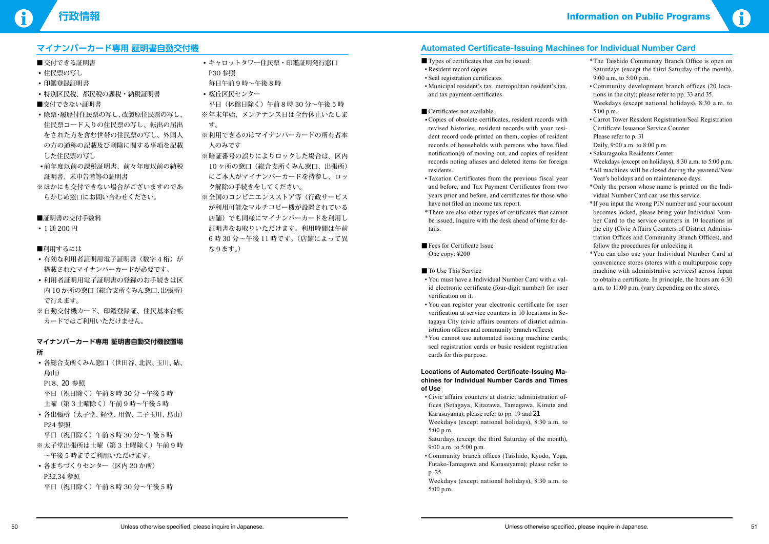# **マイナンバーカード専用 証明書自動交付機**

- ■ 交付できる証明書
- 住民票の写し
- • 印鑑登録証明書
- • 特別区民税、都民税の課税・納税証明書
- ■交付できない証明書
- 除票・履歴付住民票の写し、改製原住民票の写し、 住民票コード入りの住民票の写し、転出の届出 をされた方を含む世帯の住民票の写し、外国人 の方の通称の記載及び削除に関する事項を記載 した住民票の写し
- • 前年度以前の課税証明書、前々年度以前の納税 証明書、未申告者等の証明書
- ※ ほかにも交付できない場合がございますのであ らかじめ窓口にお問い合わせください。

■証明書の交付手数料

• 1 通 200 円

■利用するには

- 有効な利用者証明用電子証明書(数字4桁)が 搭載されたマイナンバーカードが必要です。
- 利用者証明用電子証明書の登録のお手続きは区 内 10 か所の窓口(総合支所くみん窓口、出張所) で行えます。
- ※自動交付機カード、印鑑登録証、住民基本台帳 カードではご利用いただけません。

• 各総合支所くみん窓口(世田谷、北沢、玉川、砧、 烏山)

P18、20 参照

• 各出張所(太子堂、経堂、用賀、二子玉川、烏山) P24 参照

- ※太子堂出張所は土曜(第3土曜除く)午前9時 ~午後 5 時までご利用いただけます。
- 各まちづくりセンター (区内 20 か所) P32,34 参照 平日(祝日除く)午前 8 時 30 分~午後 5 時

#### **マイナンバーカード専用 証明書自動交付機設置場 所**

平日(祝日除く)午前 8 時 30 分~午後 5 時 土曜(第 3 土曜除く)午前 9 時~午後 5 時

平日(祝日除く)午前 8 時 30 分~午後 5 時

- • キャロットタワー住民票・印鑑証明発行窓口 P30 参照
- 毎日午前 9 時~午後 8 時
- 桜丘区民センター 平日(休館日除く)午前 8 時 30 分~午後 5 時
- ※年末年始、メンテナンス日は全台休止いたしま す。
- ※利用できるのはマイナンバーカードの所有者本 人のみです
- ※暗証番号の誤りによりロックした場合は、区内 10 ヶ所の窓口(総合支所くみん窓口、出張所) にご本人がマイナンバーカードを持参し、ロッ ク解除の手続きをしてください。
- ※全国のコンビニエンスストア等(行政サービス が利用可能なマルチコピー機が設置されている 店舗)でも同様にマイナンバーカードを利用し 証明書をお取りいただけます。利用時間は午前 6 時 30 分~午後 11 時です。(店舗によって異 なります。)

#### **Automated Certificate-Issuing Machines for Individual Number Card**

- Types of certificates that can be issued:
- Resident record copies
- Seal registration certificates
- Municipal resident's tax, metropolitan resident's tax, and tax payment certificates
- Certificates not available
- • Copies of obsolete certificates, resident records with revised histories, resident records with your resident record code printed on them, copies of resident records of households with persons who have filed notification(s) of moving out, and copies of resident records noting aliases and deleted items for foreign residents.
- Taxation Certificates from the previous fiscal year and before, and Tax Payment Certificates from two years prior and before, and certificates for those who have not filed an income tax report.
- \* There are also other types of certificates that cannot be issued. Inquire with the desk ahead of time for details.
- Fees for Certificate Issue One copy: ¥200
- To Use This Service
- • You must have a Individual Number Card with a valid electronic certificate (four-digit number) for user verification on it.
- You can register your electronic certificate for user verification at service counters in 10 locations in Setagaya City (civic affairs counters of district administration offices and community branch offices).
- \*You cannot use automated issuing machine cards, seal registration cards or basic resident registration cards for this purpose.

#### **Locations of Automated Certificate-Issuing Machines for Individual Number Cards and Times of Use**

• Civic affairs counters at district administration offices (Setagaya, Kitazawa, Tamagawa, Kinuta and Karasuyama); please refer to pp. 19 and 21 Weekdays (except national holidays), 8:30 a.m. to 5:00 p.m.

 Saturdays (except the third Saturday of the month), 9:00 a.m. to 5:00 p.m.

• Community branch offices (Taishido, Kyodo, Yoga, Futako-Tamagawa and Karasuyama); please refer to p. 25.

 Weekdays (except national holidays), 8:30 a.m. to 5:00 p.m.



- \* The Taishido Community Branch Office is open on Saturdays (except the third Saturday of the month), 9:00 a.m. to 5:00 p.m.
- Community development branch offices (20 locations in the city); please refer to pp. 33 and 35. Weekdays (except national holidays), 8:30 a.m. to 5:00 p.m.
- • Carrot Tower Resident Registration/Seal Registration Certificate Issuance Service Counter Please refer to p. 31
- Daily, 9:00 a.m. to 8:00 p.m.
- Sakuragaoka Residents Center Weekdays (except on holidays), 8:30 a.m. to 5:00 p.m.
- \* All machines will be closed during the yearend/New Year's holidays and on maintenance days.
- \*Only the person whose name is printed on the Individual Number Card can use this service.
- \* If you input the wrong PIN number and your account becomes locked, please bring your Individual Number Card to the service counters in 10 locations in the city (Civic Affairs Counters of District Administration Offices and Community Branch Offices), and follow the procedures for unlocking it.
- \* You can also use your Individual Number Card at convenience stores (stores with a multipurpose copy machine with administrative services) across Japan to obtain a certificate. In principle, the hours are 6:30 a.m. to 11:00 p.m. (vary depending on the store).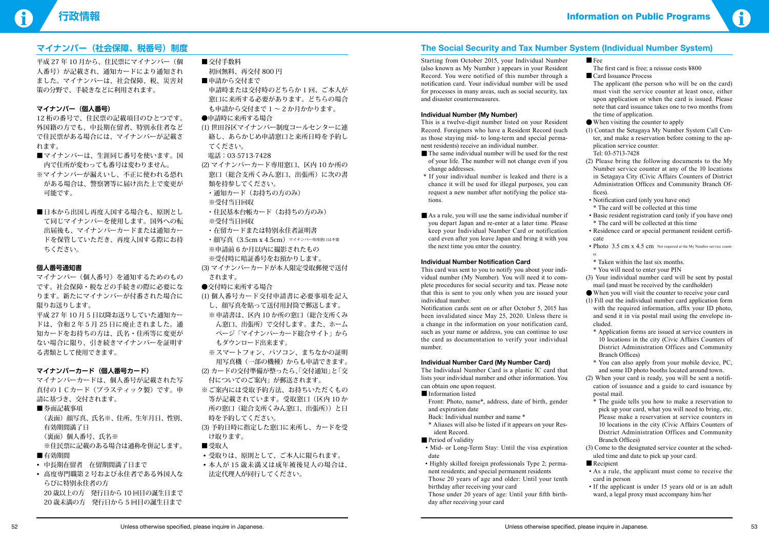

- Fee
- The first card is free; a reissue costs ¥800
- Card Issuance Process

# **マイナンバー(社会保障、税番号)制度**

平成 27 年 10 月から、住民票にマイナンバー(個 人番号)が記載され、通知カードにより通知され ました。マイナンバーは、社会保障、税、災害対 策の分野で、手続きなどに利用されます。

#### **マイナンバー(個人番号)**

- ■マイナンバーは、生涯同じ番号を使います。国 内で住所が変わっても番号は変わりません。
- ※マイナンバーが漏えいし、不正に使われる恐れ がある場合は、警察署等に届け出た上で変更が 可能です。
- ■日本から出国し再度入国する場合も、原則とし て同じマイナンバーを使用します。国外への転 出届後も、マイナンバーカードまたは通知カー ドを保管していただき、再度入国する際にお持 ちください。

12 桁の番号で、住民票の記載項目のひとつです。 外国籍の方でも、中長期在留者、特別永住者など で住民票がある場合には、マイナンバーが記載さ れます。

(表面) 顔写真、氏名※、住所、生年月日、性別、 有効期間満了日 (裏面)個人番号、氏名※ ※住民票に記載のある場合は通称を併記します。

- ■有効期間
- • 中長期在留者 在留期間満了日まで
- • 高度専門職第 2 号および永住者である外国人な らびに特別永住者の方 20 歳以上の方 発行日から 10 回目の誕生日まで 20 歳未満の方 発行日から 5 回目の誕生日まで

# ■ 交付手数料

#### **個人番号通知書**

マイナンバー(個人番号)を通知するためのもの です。社会保障・税などの手続きの際に必要にな ります。新たにマイナンバーが付番された場合に 限りお送りします。

平成 27 年 10 月 5 日以降お送りしていた通知カー ドは、令和 2 年 5 月 25 日に廃止されました。通 知カードをお持ちの方は、氏名・住所等に変更が ない場合に限り、引き続きマイナンバーを証明す る書類として使用できます。

### **マイナンバーカード(個人番号カード)**

マイナンバーカードは、個人番号が記載された写 真付のICカード(プラスティック製)です。申 請に基づき、交付されます。

#### ■券面記載事項

- 初回無料、再交付 800 円
- ■申請から交付まで 申請時または交付時のどちらか 1 回、ご本人が 窓口に来所する必要があります。どちらの場合 も申請から交付まで1~2か月かかります。
- ●申請時に来所する場合
- (1) 世田谷区マイナンバー制度コールセンターに連 絡し、あらかじめ申請窓口と来所日時を予約し てください。
- 電話:03-5713-7428
- (2) マイナンバーカード専用窓口、区内 10 か所の 窓口(総合支所くみん窓口、出張所)に次の書 類を持参してください。
- ・通知カード(お持ちの方のみ)
- ※受付当日回収
- ・住民基本台帳カード(お持ちの方のみ) ※受付当日回収
- ・在留カードまたは特別永住者証明書
- 顔写真 (3.5cm x 4.5cm) マイナンバー専用窓口は不要 ※申請前 6 か月以内に撮影されたもの ※受付時に暗証番号をお預かりします。
- (3) マイナンバーカードが本人限定受取郵便で送付 されます。
- ●交付時に来所する場合
- (1) 個人番号カード交付申請書に必要事項を記入 し、顔写真を貼って送付用封筒で郵送します。 ※申請書は、区内 10 か所の窓口(総合支所くみ ん窓口、出張所)で交付します。また、ホーム ページ「マイナンバーカード総合サイト」から
- もダウンロード出来ます。 ※ スマートフォン、パソコン、まちなかの証明 用写真機(一部の機種)からも申請できます。
- (2) カードの交付準備が整ったら、「交付通知」と「交 付についてのご案内」が郵送されます。
- ※ご案内には受取予約方法、お持ちいただくもの 等が記載されています。受取窓口(区内 10 か 所の窓口(総合支所くみん窓口、出張所))と日 時を予約してください。
- (3) 予約日時に指定した窓口に来所し、カードを受 け取ります。
- ■受取人
- • 受取りは、原則として、ご本人に限られます。
- • 本人が 15 歳未満又は成年被後見人の場合は、 法定代理人が同行してください。
- The same individual number will be used for the rest of your life. The number will not change even if you change addresses.
- \* If your individual number is leaked and there is a chance it will be used for illegal purposes, you can request a new number after notifying the police stations.
- As a rule, you will use the same individual number if you depart Japan and re-enter at a later time. Please keep your Individual Number Card or notification card even after you leave Japan and bring it with you the next time you enter the country.

Notification cards sent on or after October 5, 2015 has been invalidated since May 25, 2020. Unless there is a change in the information on your notification card, such as your name or address, you can continue to use the card as documentation to verify your individual number.

# **The Social Security and Tax Number System (Individual Number System)**

- Information listed
	- Front: Photo, name\*, address, date of birth, gender and expiration date
	- Back: Individual number and name \*
	- \* Aliases will also be listed if it appears on your Resident Record.

#### ■ Period of validity

Starting from October 2015, your Individual Number (also known as My Number ) appears in your Resident Record. You were notified of this number through a notification card. Your individual number will be used for processes in many areas, such as social security, tax and disaster countermeasures.

#### **Individual Number (My Number)**

The applicant (the person who will be on the card) must visit the service counter at least once, either upon application or when the card is issued. Please note that card issuance takes one to two months from the time of application.

This is a twelve-digit number listed on your Resident Record. Foreigners who have a Resident Record (such as those staying mid- to long-term and special permanent residents) receive an individual number.

#### **Individual Number Notification Card**

This card was sent to you to notify you about your individual number (My Number). You will need it to complete procedures for social security and tax. Please note that this is sent to you only when you are issued your individual number.

#### **Individual Number Card (My Number Card)**

The Individual Number Card is a plastic IC card that lists your individual number and other information. You can obtain one upon request.

- Mid- or Long-Term Stay: Until the visa expiration date
- Highly skilled foreign professionals Type 2; permanent residents; and special permanent residents Those 20 years of age and older: Until your tenth birthday after receiving your card Those under 20 years of age: Until your fifth birth-

day after receiving your card

- ●When visiting the counter to apply
- (1) Contact the Setagaya My Number System Call Center, and make a reservation before coming to the application service counter. Tel: 03-5713-7428
- (2) Please bring the following documents to the My Number service counter at any of the 10 locations in Setagaya City (Civic Affairs Counters of District Administration Offices and Community Branch Offices).
- Notification card (only you have one) \* The card will be collected at this time
- Basic resident registration card (only if you have one) \* The card will be collected at this time
- Residence card or special permanent resident certificate
- Photo  $3.5 \text{ cm} \times 4.5 \text{ cm}$  Not required at the My Number service counter.
- \* Taken within the last six months.
- \* You will need to enter your PIN
- (3) Your individual number card will be sent by postal mail (and must be received by the cardholder)
- ●When you will visit the counter to receive your card
- (1) Fill out the individual number card application form with the required information, affix your ID photo, and send it in via postal mail using the envelope included.
	- \* Application forms are issued at service counters in 10 locations in the city (Civic Affairs Counters of District Administration Offices and Community Branch Offices)
	- \* You can also apply from your mobile device, PC, and some ID photo booths located around town.
- (2) When your card is ready, you will be sent a notification of issuance and a guide to card issuance by postal mail.
	- \* The guide tells you how to make a reservation to pick up your card, what you will need to bring, etc. Please make a reservation at service counters in 10 locations in the city (Civic Affairs Counters of District Administration Offices and Community Branch Offices)
- (3) Come to the designated service counter at the scheduled time and date to pick up your card.
- Recipient
- As a rule, the applicant must come to receive the card in person
- If the applicant is under 15 years old or is an adult ward, a legal proxy must accompany him/her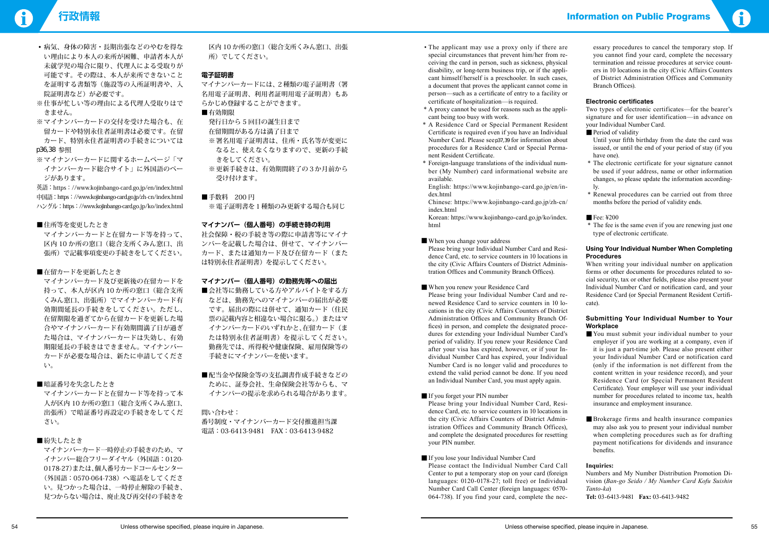- • 病気、身体の障害・長期出張などのやむを得な い理由により本人の来所が困難、申請者本人が 未就学児の場合に限り、代理人による受取りが 可能です。その際は、本人が来所できないこと を証明する書類等(施設等の入所証明書や、入 院証明書など)が必要です。
- ※仕事が忙しい等の理由による代理人受取りはで きません。
- ※マイナンバーカードの交付を受けた場合も、在 留カードや特別永住者証明書は必要です。在留 カード、特別永住者証明書の手続きについては p36,38 参照
- ※ マイナンバーカードに関するホームページ「マ イナンバーカード総合サイト」に外国語のペー ジがあります。

英語:https://www.kojinbango-card.go.jp/en/index.html 中国語:https://www.kojinbango-card.go.jp/zh-cn/index.html ハングル:https://www.kojinbango-card.go.jp/ko/index.html

#### ■住所等を変更したとき

 マイナンバーカードと在留カード等を持って、 区内 10 か所の窓口(総合支所くみん窓口、出 張所)で記載事項変更の手続きをしてください。

#### ■在留カードを更新したとき

- ※ 署名用電子証明書は、住所・氏名等が変更に なると、使えなくなりますので、更新の手続 きをしてください。
- ※更新手続きは、有効期間終了の3か月前から 受け付けます。

#### ■ 手数料 200 円

※ 電子証明書を1種類のみ更新する場合も同じ

 マイナンバーカード及び更新後の在留カードを 持って、本人が区内 10 か所の窓口(総合支所 くみん窓口、出張所)でマイナンバーカード有 効期間延長の手続きをしてください。ただし、 在留期限を過ぎてから在留カードを更新した場 合やマイナンバーカード有効期間満了日が過ぎ た場合は、マイナンバーカードは失効し、有効 期限延長の手続きはできません。マイナンバー カードが必要な場合は、新たに申請してくださ い。

#### ■暗証番号を失念したとき

■会社等に勤務している方やアルバイトをする方 などは、勤務先へのマイナンバーの届出が必要 です。届出の際には併せて、通知カード(住民 票の記載内容と相違ない場合に限る。)またはマ イナンバーカードのいずれかと、在留カード(ま たは特別永住者証明書)を提示してください。 勤務先では、所得税や健康保険、雇用保険等の 手続きにマイナンバーを使います。

■ 配当金や保険金等の支払調書作成手続きなどの ために、証券会社、生命保険会社等からも、マ イナンバーの提示を求められる場合があります。

 マイナンバーカードと在留カード等を持って本 人が区内 10 か所の窓口(総合支所くみん窓口、 出張所)で暗証番号再設定の手続きをしてくだ さい。

#### ■紛失したとき

マイナンバーカード一時停止の手続きのため、マ イナンバー総合フリーダイヤル(外国語:0120- 0178-27)または、個人番号カードコールセンター (外国語:0570-064-738)へ電話をしてくださ い。見つかった場合は、一時停止解除の手続き、 見つからない場合は、廃止及び再交付の手続きを

区内 10 か所の窓口(総合支所くみん窓口、出張 所)でしてください。

#### **電子証明書**

マイナンバーカードには、2種類の電子証明書(署 名用電子証明書、利用者証明用電子証明書)もあ らかじめ登録することができます。

#### ■有効期限

 発行日から 5 回目の誕生日まで 在留期間がある方は満了日まで

#### **マイナンバー(個人番号)の手続き時の利用**

When you change your address Please bring your Individual Number Card and Resi-

社会保障・税の手続き等の際に申請書等にマイナ ンバーを記載した場合は、併せて、マイナンバー カード、または通知カード及び在留カード(また は特別永住者証明書)を提示してください。

#### **マイナンバー(個人番号)の勤務先等への届出**

### 問い合わせ:

番号制度・マイナンバーカード交付推進担当課 電話:03-6413-9481 FAX:03-6413-9482

- When you renew your Residence Card Please bring your Individual Number Card and renewed Residence Card to service counters in 10 locations in the city (Civic Affairs Counters of District Administration Offices and Community Branch Offices) in person, and complete the designated procedures for extending your Individual Number Card's period of validity. If you renew your Residence Card after your visa has expired, however, or if your Individual Number Card has expired, your Individual Number Card is no longer valid and procedures to extend the valid period cannot be done. If you need an Individual Number Card, you must apply again.
- If you forget your PIN number Please bring your Individual Number Card, Residence Card, etc. to service counters in 10 locations in the city (Civic Affairs Counters of District Administration Offices and Community Branch Offices), and complete the designated procedures for resetting your PIN number.
- If you lose your Individual Number Card Please contact the Individual Number Card Call Center to put a temporary stop on your card (foreign languages: 0120-0178-27; toll free) or Individual Number Card Call Center (foreign languages: 0570- 064-738). If you find your card, complete the nec-
- The applicant may use a proxy only if there are special circumstances that prevent him/her from receiving the card in person, such as sickness, physical disability, or long-term business trip, or if the applicant himself/herself is a preschooler. In such cases, a document that proves the applicant cannot come in person—such as a certificate of entry to a facility or certificate of hospitalization—is required.
- \* A proxy cannot be used for reasons such as the applicant being too busy with work.
- \* A Residence Card or Special Permanent Resident Certificate is required even if you have an Individual Number Card. Please seep37,39 for information about procedures for a Residence Card or Special Permanent Resident Certificate.
- \* Foreign-language translations of the individual number (My Number) card informational website are available.

 English: https://www.kojinbango-card.go.jp/en/index.html

 Chinese: https://www.kojinbango-card.go.jp/zh-cn/ index.html

 Korean: https://www.kojinbango-card.go.jp/ko/index. html

dence Card, etc. to service counters in 10 locations in the city (Civic Affairs Counters of District Administration Offices and Community Branch Offices).

essary procedures to cancel the temporary stop. If you cannot find your card, complete the necessary termination and reissue procedures at service counters in 10 locations in the city (Civic Affairs Counters of District Administration Offices and Community Branch Offices).

#### **Electronic certificates**

Two types of electronic certificates—for the bearer's signature and for user identification—in advance on your Individual Number Card.

■ Period of validity

 Until your fifth birthday from the date the card was issued, or until the end of your period of stay (if you have one).

- \* The electronic certificate for your signature cannot be used if your address, name or other information changes, so please update the information accordingly.
- \* Renewal procedures can be carried out from three months before the period of validity ends.
- $\blacksquare$  Fee:  $\yen$  200
- \* The fee is the same even if you are renewing just one type of electronic certificate.

#### **Using Your Individual Number When Completing Procedures**

When writing your individual number on application forms or other documents for procedures related to social security, tax or other fields, please also present your Individual Number Card or notification card, and your Residence Card (or Special Permanent Resident Certificate).

#### **Submitting Your Individual Number to Your Workplace**

- You must submit your individual number to your employer if you are working at a company, even if it is just a part-time job. Please also present either your Individual Number Card or notification card (only if the information is not different from the content written in your residence record), and your Residence Card (or Special Permanent Resident Certificate). Your employer will use your individual number for procedures related to income tax, health insurance and employment insurance.
- ■Brokerage firms and health insurance companies may also ask you to present your individual number when completing procedures such as for drafting payment notifications for dividends and insurance **benefits**

#### **Inquiries:**

Numbers and My Number Distribution Promotion Division (*Ban-go Seido / My Number Card Kofu Suishin Tanto-ka*) **Tel:** 03-6413-9481 **Fax:** 03-6413-9482